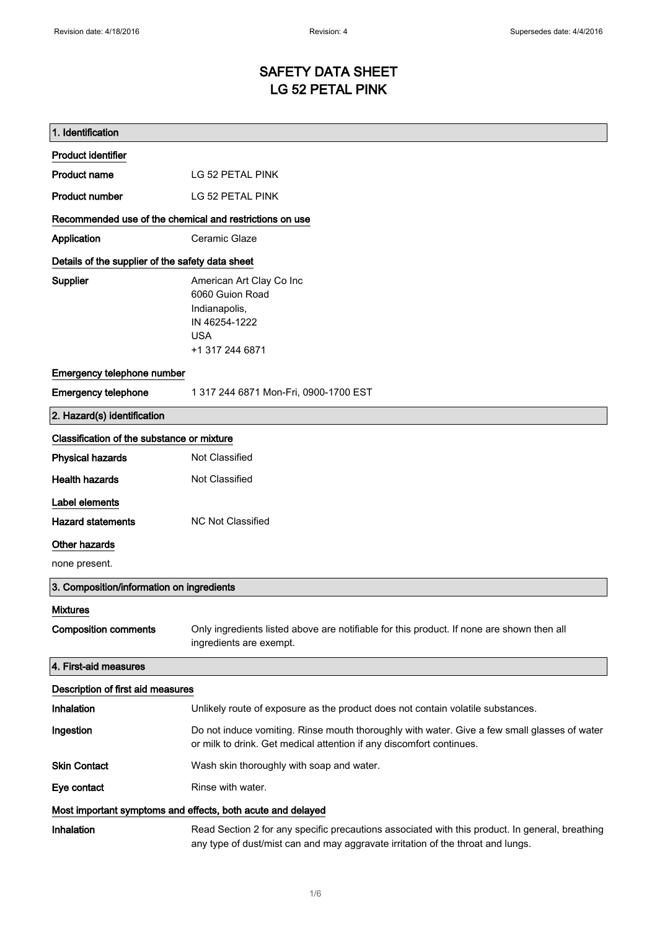# SAFETY DATA SHEET LG 52 PETAL PINK

| 1. Identification                                                            |                                                                                                                                                                                    |  |
|------------------------------------------------------------------------------|------------------------------------------------------------------------------------------------------------------------------------------------------------------------------------|--|
| <b>Product identifier</b>                                                    |                                                                                                                                                                                    |  |
| <b>Product name</b>                                                          | LG 52 PETAL PINK                                                                                                                                                                   |  |
| <b>Product number</b>                                                        | LG 52 PETAL PINK                                                                                                                                                                   |  |
| Recommended use of the chemical and restrictions on use                      |                                                                                                                                                                                    |  |
| Application                                                                  | Ceramic Glaze                                                                                                                                                                      |  |
| Details of the supplier of the safety data sheet                             |                                                                                                                                                                                    |  |
| Supplier                                                                     | American Art Clay Co Inc<br>6060 Guion Road<br>Indianapolis,<br>IN 46254-1222<br><b>USA</b><br>+1 317 244 6871                                                                     |  |
| Emergency telephone number                                                   |                                                                                                                                                                                    |  |
| <b>Emergency telephone</b>                                                   | 1 317 244 6871 Mon-Fri, 0900-1700 EST                                                                                                                                              |  |
| 2. Hazard(s) identification                                                  |                                                                                                                                                                                    |  |
| Classification of the substance or mixture                                   |                                                                                                                                                                                    |  |
| <b>Physical hazards</b>                                                      | Not Classified                                                                                                                                                                     |  |
| <b>Health hazards</b>                                                        | Not Classified                                                                                                                                                                     |  |
| Label elements<br><b>Hazard statements</b><br>Other hazards<br>none present. | <b>NC Not Classified</b>                                                                                                                                                           |  |
| 3. Composition/information on ingredients                                    |                                                                                                                                                                                    |  |
| <b>Mixtures</b><br><b>Composition comments</b>                               | Only ingredients listed above are notifiable for this product. If none are shown then all<br>ingredients are exempt.                                                               |  |
| 4. First-aid measures                                                        |                                                                                                                                                                                    |  |
| Description of first aid measures                                            |                                                                                                                                                                                    |  |
| Inhalation                                                                   | Unlikely route of exposure as the product does not contain volatile substances.                                                                                                    |  |
| Ingestion                                                                    | Do not induce vomiting. Rinse mouth thoroughly with water. Give a few small glasses of water<br>or milk to drink. Get medical attention if any discomfort continues.               |  |
| <b>Skin Contact</b>                                                          | Wash skin thoroughly with soap and water.                                                                                                                                          |  |
| Eye contact                                                                  | Rinse with water.                                                                                                                                                                  |  |
| Most important symptoms and effects, both acute and delayed                  |                                                                                                                                                                                    |  |
| Inhalation                                                                   | Read Section 2 for any specific precautions associated with this product. In general, breathing<br>any type of dust/mist can and may aggravate irritation of the throat and lungs. |  |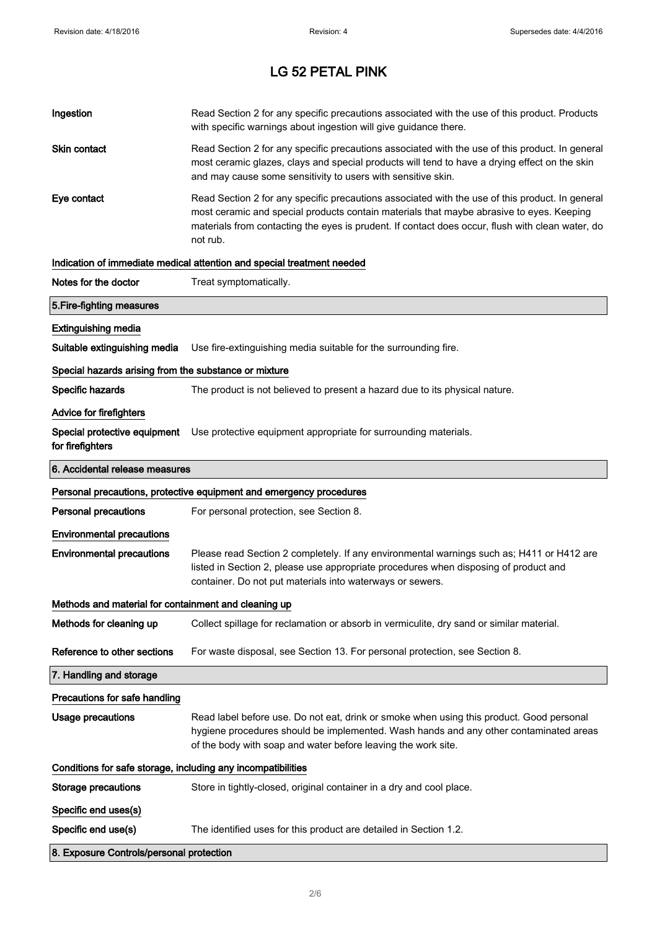| Ingestion                                                    | Read Section 2 for any specific precautions associated with the use of this product. Products<br>with specific warnings about ingestion will give guidance there.                                                                                                                                           |  |
|--------------------------------------------------------------|-------------------------------------------------------------------------------------------------------------------------------------------------------------------------------------------------------------------------------------------------------------------------------------------------------------|--|
| Skin contact                                                 | Read Section 2 for any specific precautions associated with the use of this product. In general<br>most ceramic glazes, clays and special products will tend to have a drying effect on the skin<br>and may cause some sensitivity to users with sensitive skin.                                            |  |
| Eye contact                                                  | Read Section 2 for any specific precautions associated with the use of this product. In general<br>most ceramic and special products contain materials that maybe abrasive to eyes. Keeping<br>materials from contacting the eyes is prudent. If contact does occur, flush with clean water, do<br>not rub. |  |
|                                                              | Indication of immediate medical attention and special treatment needed                                                                                                                                                                                                                                      |  |
| Notes for the doctor                                         | Treat symptomatically.                                                                                                                                                                                                                                                                                      |  |
| 5. Fire-fighting measures                                    |                                                                                                                                                                                                                                                                                                             |  |
| <b>Extinguishing media</b>                                   |                                                                                                                                                                                                                                                                                                             |  |
| Suitable extinguishing media                                 | Use fire-extinguishing media suitable for the surrounding fire.                                                                                                                                                                                                                                             |  |
| Special hazards arising from the substance or mixture        |                                                                                                                                                                                                                                                                                                             |  |
| Specific hazards                                             | The product is not believed to present a hazard due to its physical nature.                                                                                                                                                                                                                                 |  |
| <b>Advice for firefighters</b>                               |                                                                                                                                                                                                                                                                                                             |  |
| for firefighters                                             | Special protective equipment Use protective equipment appropriate for surrounding materials.                                                                                                                                                                                                                |  |
| 6. Accidental release measures                               |                                                                                                                                                                                                                                                                                                             |  |
|                                                              | Personal precautions, protective equipment and emergency procedures                                                                                                                                                                                                                                         |  |
| <b>Personal precautions</b>                                  | For personal protection, see Section 8.                                                                                                                                                                                                                                                                     |  |
| <b>Environmental precautions</b>                             |                                                                                                                                                                                                                                                                                                             |  |
| <b>Environmental precautions</b>                             | Please read Section 2 completely. If any environmental warnings such as; H411 or H412 are<br>listed in Section 2, please use appropriate procedures when disposing of product and<br>container. Do not put materials into waterways or sewers.                                                              |  |
| Methods and material for containment and cleaning up         |                                                                                                                                                                                                                                                                                                             |  |
| Methods for cleaning up                                      | Collect spillage for reclamation or absorb in vermiculite, dry sand or similar material.                                                                                                                                                                                                                    |  |
| Reference to other sections                                  | For waste disposal, see Section 13. For personal protection, see Section 8.                                                                                                                                                                                                                                 |  |
| 7. Handling and storage                                      |                                                                                                                                                                                                                                                                                                             |  |
| Precautions for safe handling                                |                                                                                                                                                                                                                                                                                                             |  |
| Usage precautions                                            | Read label before use. Do not eat, drink or smoke when using this product. Good personal<br>hygiene procedures should be implemented. Wash hands and any other contaminated areas<br>of the body with soap and water before leaving the work site.                                                          |  |
| Conditions for safe storage, including any incompatibilities |                                                                                                                                                                                                                                                                                                             |  |
| <b>Storage precautions</b>                                   | Store in tightly-closed, original container in a dry and cool place.                                                                                                                                                                                                                                        |  |
| Specific end uses(s)                                         |                                                                                                                                                                                                                                                                                                             |  |
| Specific end use(s)                                          | The identified uses for this product are detailed in Section 1.2.                                                                                                                                                                                                                                           |  |
|                                                              |                                                                                                                                                                                                                                                                                                             |  |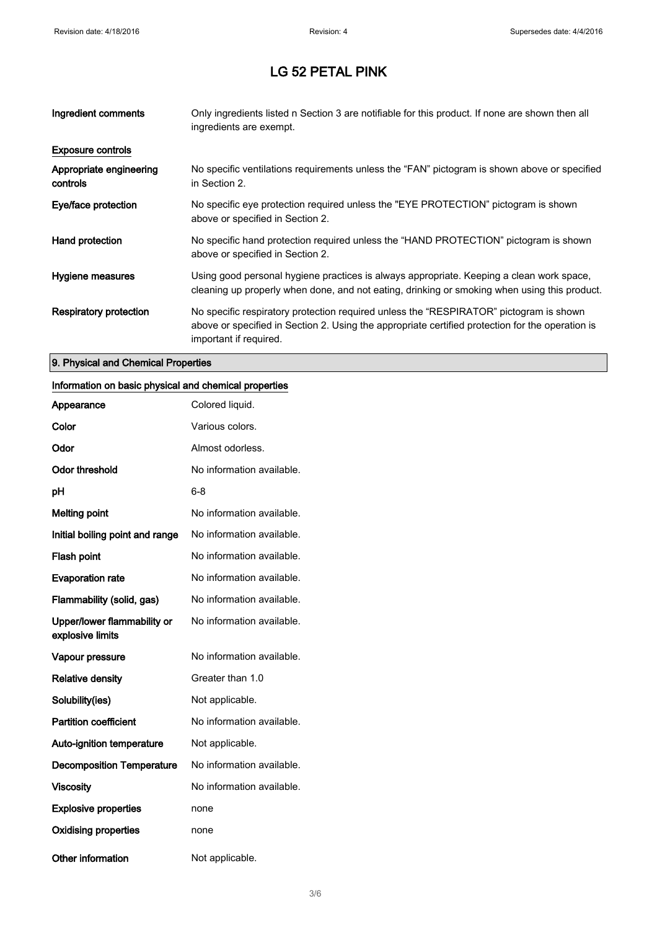| Ingredient comments                 | Only ingredients listed n Section 3 are notifiable for this product. If none are shown then all<br>ingredients are exempt.                                                                                           |
|-------------------------------------|----------------------------------------------------------------------------------------------------------------------------------------------------------------------------------------------------------------------|
| <b>Exposure controls</b>            |                                                                                                                                                                                                                      |
| Appropriate engineering<br>controls | No specific ventilations requirements unless the "FAN" pictogram is shown above or specified<br>in Section 2.                                                                                                        |
| Eye/face protection                 | No specific eye protection required unless the "EYE PROTECTION" pictogram is shown<br>above or specified in Section 2.                                                                                               |
| Hand protection                     | No specific hand protection required unless the "HAND PROTECTION" pictogram is shown<br>above or specified in Section 2.                                                                                             |
| Hygiene measures                    | Using good personal hygiene practices is always appropriate. Keeping a clean work space,<br>cleaning up properly when done, and not eating, drinking or smoking when using this product.                             |
| Respiratory protection              | No specific respiratory protection required unless the "RESPIRATOR" pictogram is shown<br>above or specified in Section 2. Using the appropriate certified protection for the operation is<br>important if required. |

## 9. Physical and Chemical Properties

### Information on basic physical and chemical properties

| Appearance                                      | Colored liquid.           |
|-------------------------------------------------|---------------------------|
| Color                                           | Various colors.           |
| Odor                                            | Almost odorless.          |
| <b>Odor threshold</b>                           | No information available. |
| рH                                              | 6-8                       |
| <b>Melting point</b>                            | No information available. |
| Initial boiling point and range                 | No information available. |
| <b>Flash point</b>                              | No information available. |
| <b>Evaporation rate</b>                         | No information available. |
| Flammability (solid, gas)                       | No information available. |
| Upper/lower flammability or<br>explosive limits | No information available. |
| Vapour pressure                                 | No information available. |
| <b>Relative density</b>                         | Greater than 1.0          |
| Solubility(ies)                                 | Not applicable.           |
| <b>Partition coefficient</b>                    | No information available. |
| <b>Auto-ignition temperature</b>                | Not applicable.           |
| <b>Decomposition Temperature</b>                | No information available. |
| <b>Viscosity</b>                                | No information available. |
| <b>Explosive properties</b>                     | none                      |
| <b>Oxidising properties</b>                     | none                      |
| Other information                               | Not applicable.           |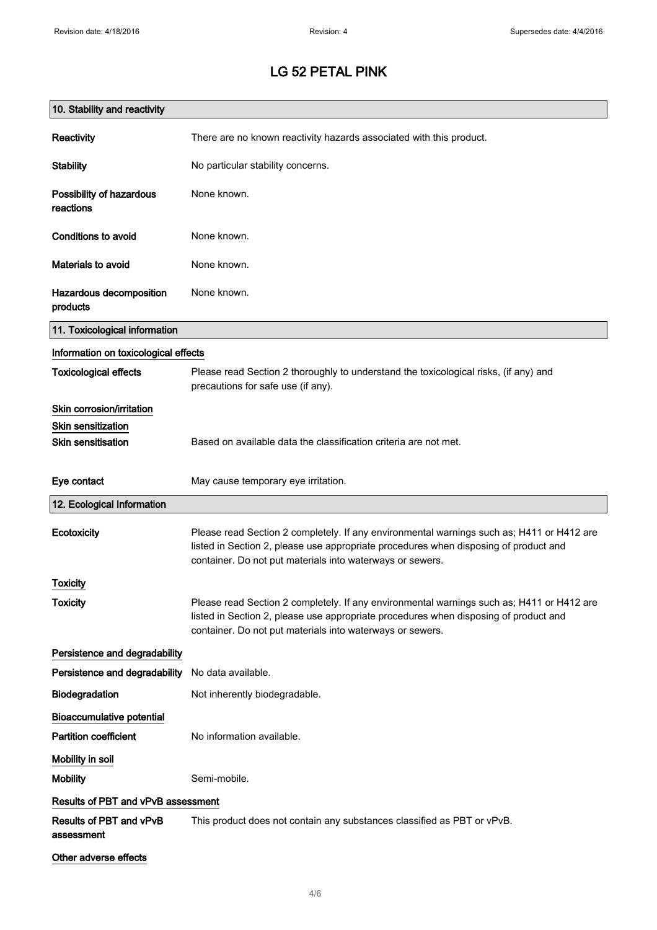| 10. Stability and reactivity          |                                                                                                                                                                                                                                                |
|---------------------------------------|------------------------------------------------------------------------------------------------------------------------------------------------------------------------------------------------------------------------------------------------|
| Reactivity                            | There are no known reactivity hazards associated with this product.                                                                                                                                                                            |
| <b>Stability</b>                      | No particular stability concerns.                                                                                                                                                                                                              |
| Possibility of hazardous<br>reactions | None known.                                                                                                                                                                                                                                    |
| Conditions to avoid                   | None known.                                                                                                                                                                                                                                    |
| Materials to avoid                    | None known.                                                                                                                                                                                                                                    |
| Hazardous decomposition<br>products   | None known.                                                                                                                                                                                                                                    |
| 11. Toxicological information         |                                                                                                                                                                                                                                                |
| Information on toxicological effects  |                                                                                                                                                                                                                                                |
| <b>Toxicological effects</b>          | Please read Section 2 thoroughly to understand the toxicological risks, (if any) and<br>precautions for safe use (if any).                                                                                                                     |
| Skin corrosion/irritation             |                                                                                                                                                                                                                                                |
| <b>Skin sensitization</b>             |                                                                                                                                                                                                                                                |
| <b>Skin sensitisation</b>             | Based on available data the classification criteria are not met.                                                                                                                                                                               |
| Eye contact                           | May cause temporary eye irritation.                                                                                                                                                                                                            |
| 12. Ecological Information            |                                                                                                                                                                                                                                                |
| Ecotoxicity                           | Please read Section 2 completely. If any environmental warnings such as; H411 or H412 are<br>listed in Section 2, please use appropriate procedures when disposing of product and<br>container. Do not put materials into waterways or sewers. |
| Toxicity                              |                                                                                                                                                                                                                                                |
| <b>Toxicity</b>                       | Please read Section 2 completely. If any environmental warnings such as; H411 or H412 are<br>listed in Section 2, please use appropriate procedures when disposing of product and<br>container. Do not put materials into waterways or sewers. |
| Persistence and degradability         |                                                                                                                                                                                                                                                |
| Persistence and degradability         | No data available.                                                                                                                                                                                                                             |
| Biodegradation                        | Not inherently biodegradable.                                                                                                                                                                                                                  |
| <b>Bioaccumulative potential</b>      |                                                                                                                                                                                                                                                |
| <b>Partition coefficient</b>          | No information available.                                                                                                                                                                                                                      |
| Mobility in soil                      |                                                                                                                                                                                                                                                |
| <b>Mobility</b>                       | Semi-mobile.                                                                                                                                                                                                                                   |
| Results of PBT and vPvB assessment    |                                                                                                                                                                                                                                                |
| Results of PBT and vPvB<br>assessment | This product does not contain any substances classified as PBT or vPvB.                                                                                                                                                                        |
| Other adverse effects                 |                                                                                                                                                                                                                                                |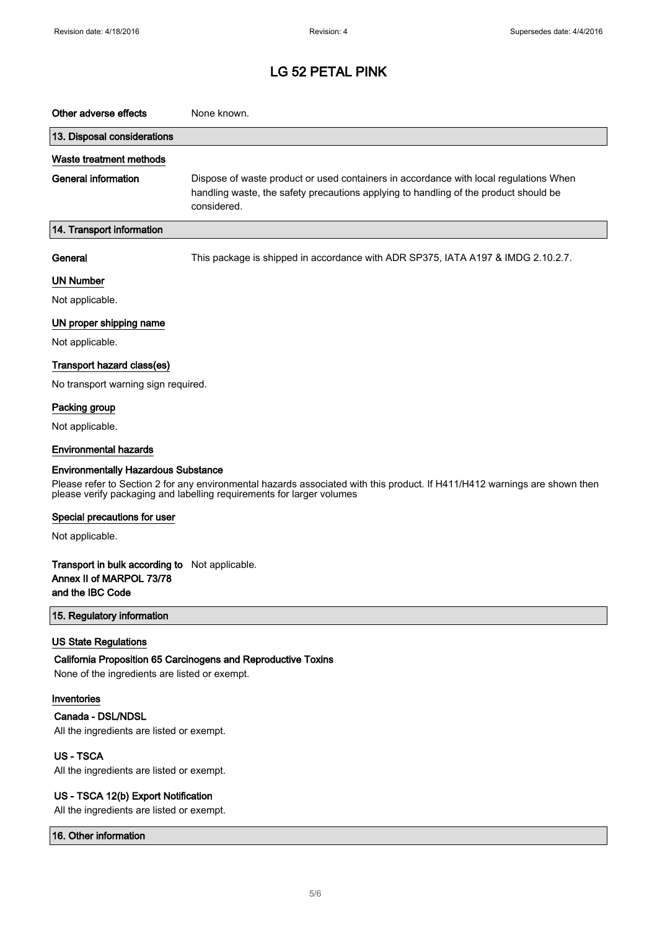| Other adverse effects       | None known.                                                                                                                                                                                  |
|-----------------------------|----------------------------------------------------------------------------------------------------------------------------------------------------------------------------------------------|
| 13. Disposal considerations |                                                                                                                                                                                              |
| Waste treatment methods     |                                                                                                                                                                                              |
| General information         | Dispose of waste product or used containers in accordance with local regulations When<br>handling waste, the safety precautions applying to handling of the product should be<br>considered. |
| 14. Transport information   |                                                                                                                                                                                              |

General This package is shipped in accordance with ADR SP375, IATA A197 & IMDG 2.10.2.7.

#### UN Number

Not applicable.

#### UN proper shipping name

Not applicable.

#### Transport hazard class(es)

No transport warning sign required.

### Packing group

Not applicable.

#### Environmental hazards

#### Environmentally Hazardous Substance

Please refer to Section 2 for any environmental hazards associated with this product. If H411/H412 warnings are shown then please verify packaging and labelling requirements for larger volumes

#### Special precautions for user

Not applicable.

#### Transport in bulk according to Not applicable. Annex II of MARPOL 73/78 and the IBC Code

15. Regulatory information

#### US State Regulations

#### California Proposition 65 Carcinogens and Reproductive Toxins

None of the ingredients are listed or exempt.

#### Inventories

#### Canada - DSL/NDSL

All the ingredients are listed or exempt.

### US - TSCA

All the ingredients are listed or exempt.

#### US - TSCA 12(b) Export Notification

All the ingredients are listed or exempt.

#### 16. Other information